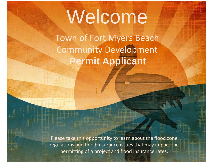# Welcome

Town of Fort Myers Beach Community Development **Permit Applicant**

Please take this opportunity to learn about the flood zone regulations and flood insurance issues that may impact the permitting of a project and flood insurance rates.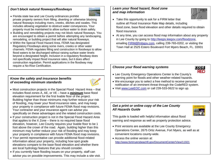# *Don't block natural flowways/floodways*



- Florida state law and Lee County ordinances prohibit private property owners from filling, diverting or otherwise blocking natural flowways including rivers, creeks, ditches and swales. This includes allowing vegetation to obstruct water conveyances. Your property must be maintained to allow surface water to drain safely.
- Building and remodeling projects may not block natural flowways. You are encouraged to obtain a permit before attempting any landscaping, remodeling, or building project that will alter natural flowways.
- Within the Special Flood Hazard Area, FEMA has designated Regulatory Floodways along some rivers, creeks or other water channels. FEMA regulates filling and construction in floodways to allow flood waters to be discharged without raising surface water levels beyond a designated height. Inclusion in a regulatory floodway does not specifically impact flood insurance rates, but it does affect construction regulation. Permit applications in the floodway may require a No-Rise Certification.

# *Know the safety and insurance benefits of exceeding minimum standards*



- Most construction projects in the Special Flood Hazard Area that includes flood zones A, AE, or VE – have a *minimum* base flood elevation requirement for the first livable floor of the project. Building higher than those minimums may further reduce your risk of flooding, may lower your flood insurance rates, and may keep your property in compliance with future FEMA flood map revisions. Your contractor and your insurance agent can advise you specifically on these advantages and the related construction costs.
- If your construction project is not in the Special Flood Hazard Area that applies to the X Zone – there is no required base flood elevation, however, Lee County requires your livable floor to be 1 foot above the crown of the road. Again, building higher than this minimum may further reduce your risk of flooding and may keep your property in compliance with future FEMA flood map revisions.
- Your permit representative can provide additional flood-related information about your property, including how spot grade elevations compare to the base flood elevation and whether there are local hydrology features that you should consider.
- If you currently have flooding issues on your property, staff can advise you on possible improvements. This may include a site visit.

# *Learn your flood hazard, flood zone and map information*



- $\overline{\phantom{a}}$ • Take this opportunity to ask for a FIRM letter that outline all Flood Insurance Rate Map details, including flood zone, base flood elevation and other details required to obtain flood insurance.
- At any time, you can access flood map information about any property in Lee County by going to [http://leegis.leegov.com/floodzone,](http://leegis.leegov.com/floodzone) emailing [FIRM@fmbgov.com,](mailto:FIRM@fmbgov.com) calling 239-765-0202, or visiting the Town Hall at 2525 Estero Boulevard Fort Myers Beach, FL. 33931

# *Choose your flood warning systems*



- Lee County Emergency Operations Center is the County's warning point for floods and other weather-related hazards.
- We encourage you to select a free method to receive personal notification of an imminent threat through the CodeRED system.
- Visit [www.LeeEOC.com](http://www.leeeoc.com/) or call 239-533-0622 to sign up.

### *Get a print or online copy of the Lee County All Hazards Guide*



This guide is loaded with helpful information about flood warning and response as well as property protection advice.

- Print versions are available at the Lee County Emergency Operations Center, 2675 Ortiz Avenue, Fort Myers, as well as at convenient locations county-wide.
- Access the online version at: <http://www.fortmyersbeachfl.gov/DocumentCenter/View/11921>